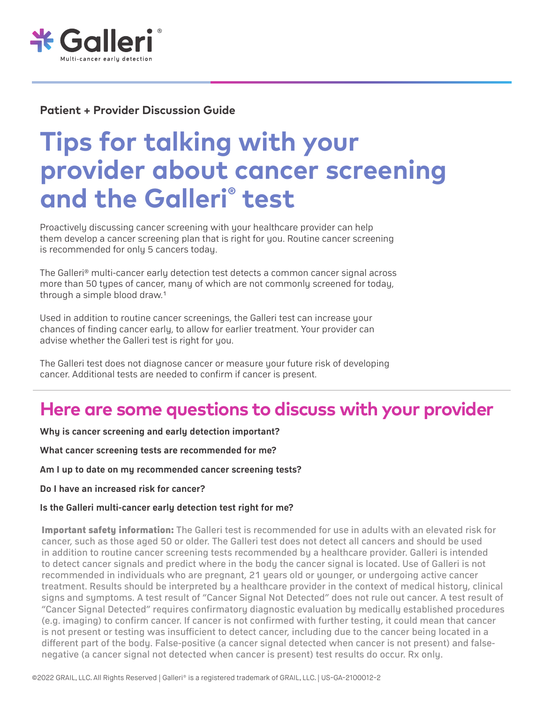

#### **Patient + Provider Discussion Guide**

# **Tips for talking with your provider about cancer screening and the Galleri® test**

Proactively discussing cancer screening with your healthcare provider can help them develop a cancer screening plan that is right for you. Routine cancer screening is recommended for only 5 cancers today.

The Galleri® multi-cancer early detection test detects a common cancer signal across more than 50 types of cancer, many of which are not commonly screened for today, through a simple blood draw.1

Used in addition to routine cancer screenings, the Galleri test can increase your chances of finding cancer early, to allow for earlier treatment. Your provider can advise whether the Galleri test is right for you.

The Galleri test does not diagnose cancer or measure your future risk of developing cancer. Additional tests are needed to confirm if cancer is present.

# **Here are some questions to discuss with your provider**

**Why is cancer screening and early detection important?**

**What cancer screening tests are recommended for me?**

**Am I up to date on my recommended cancer screening tests?**

**Do I have an increased risk for cancer?**

#### **Is the Galleri multi-cancer early detection test right for me?**

**Important safety information:** The Galleri test is recommended for use in adults with an elevated risk for cancer, such as those aged 50 or older. The Galleri test does not detect all cancers and should be used in addition to routine cancer screening tests recommended by a healthcare provider. Galleri is intended to detect cancer signals and predict where in the body the cancer signal is located. Use of Galleri is not recommended in individuals who are pregnant, 21 years old or younger, or undergoing active cancer treatment. Results should be interpreted by a healthcare provider in the context of medical history, clinical signs and symptoms. A test result of "Cancer Signal Not Detected" does not rule out cancer. A test result of "Cancer Signal Detected" requires confirmatory diagnostic evaluation by medically established procedures (e.g. imaging) to confirm cancer. If cancer is not confirmed with further testing, it could mean that cancer is not present or testing was insufficient to detect cancer, including due to the cancer being located in a different part of the body. False-positive (a cancer signal detected when cancer is not present) and falsenegative (a cancer signal not detected when cancer is present) test results do occur. Rx only.